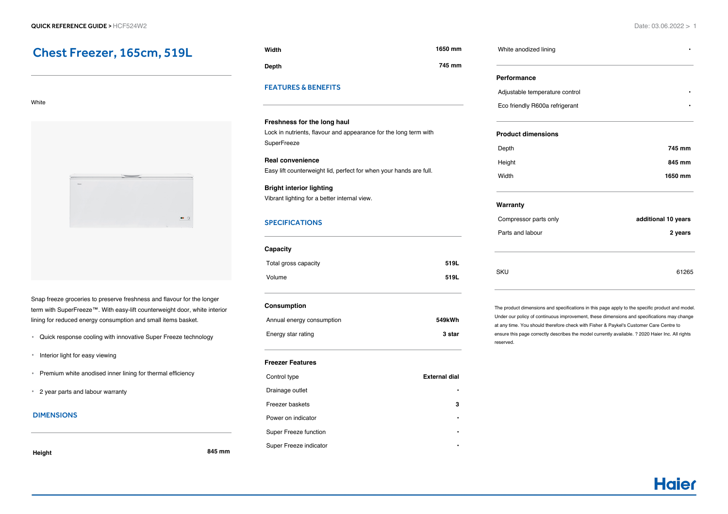# Chest Freezer, 165cm, 519L

#### White



Snap freeze groceries to preserve freshness and flavour for the longer term with SuperFreeze™. With easy-lift counterweight door, white interior lining for reduced energy consumption and small items basket.

- Quick response cooling with innovative Super Freeze technology
- **Interior light for easy viewing**
- Premium white anodised inner lining for thermal efficiency
- 2 year parts and labour warranty

#### DIMENSIONS

### **Height 845 mm**

| Width | 1650 mm |
|-------|---------|
| Depth | 745 mm  |

#### FEATURES & BENEFITS

#### **Freshness for the long haul**

Lock in nutrients, flavour and appearance for the long term with **SuperFreeze** 

## **Real convenience** Easy lift counterweight lid, perfect for when your hands are full.

**Bright interior lighting** Vibrant lighting for a better internal view.

#### **SPECIFICATIONS**

| Capacity             |      |
|----------------------|------|
| Total gross capacity | 519L |
| Volume               | 519L |
|                      |      |

#### **Consumption**

| Annual energy consumption | 549kWh |
|---------------------------|--------|
| Energy star rating        | 3 star |

#### **Freezer Features**

| Control type           | <b>External dial</b> |
|------------------------|----------------------|
| Drainage outlet        |                      |
| Freezer baskets        | з                    |
| Power on indicator     | ٠                    |
| Super Freeze function  | ٠                    |
| Super Freeze indicator |                      |

# **Performance** Adjustable temperature control **•** Eco friendly R600a refrigerant **• Product dimensions** Depth **745 mm**

| ----   | .       |
|--------|---------|
| Height | 845 mm  |
| Width  | 1650 mm |

#### **Warranty**

White anodized lining **•**

| Compressor parts only | additional 10 years |
|-----------------------|---------------------|
| Parts and labour      | 2 years             |
|                       |                     |
|                       |                     |
| SKU                   | 61265               |
|                       |                     |

The product dimensions and specifications in this page apply to the specific product and model. Under our policy of continuous improvement, these dimensions and specifications may change at any time. You should therefore check with Fisher & Paykel's Customer Care Centre to ensure this page correctly describes the model currently available. ? 2020 Haier Inc. All rights reserved.